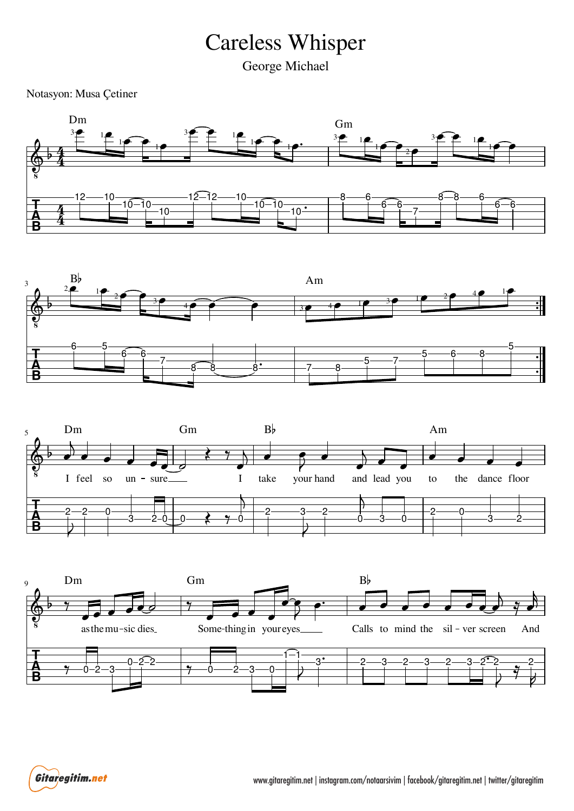## Careless Whisper

George Michael

Notasyon: Musa Çetiner